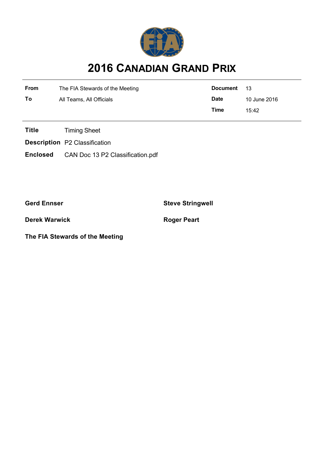

## **2016 CANADIAN GRAND PRIX**

| From | The FIA Stewards of the Meeting | <b>Document</b> | 13           |
|------|---------------------------------|-----------------|--------------|
| То   | All Teams, All Officials        | <b>Date</b>     | 10 June 2016 |
|      |                                 | Time            | 15:42        |

**Title** Timing Sheet

**Description** P2 Classification

**Enclosed** CAN Doc 13 P2 Classification.pdf

**Gerd Ennser Steve Stringwell**

**Derek Warwick Roger Peart** 

**The FIA Stewards of the Meeting**